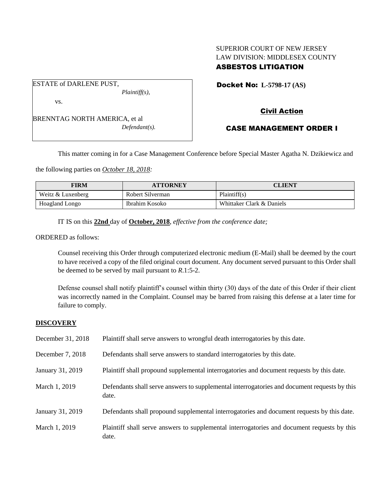# SUPERIOR COURT OF NEW JERSEY LAW DIVISION: MIDDLESEX COUNTY ASBESTOS LITIGATION

ESTATE of DARLENE PUST, *Plaintiff(s),*

vs.

BRENNTAG NORTH AMERICA, et al *Defendant(s).* Docket No: **L-5798-17 (AS)** 

# Civil Action

# CASE MANAGEMENT ORDER I

This matter coming in for a Case Management Conference before Special Master Agatha N. Dzikiewicz and

the following parties on *October 18, 2018:*

| <b>FIRM</b>       | <b>ATTORNEY</b>  | <b>CLIENT</b>             |
|-------------------|------------------|---------------------------|
| Weitz & Luxenberg | Robert Silverman | Plaintiff(s)              |
| Hoagland Longo    | Ibrahim Kosoko   | Whittaker Clark & Daniels |

IT IS on this **22nd** day of **October, 2018**, *effective from the conference date;*

ORDERED as follows:

Counsel receiving this Order through computerized electronic medium (E-Mail) shall be deemed by the court to have received a copy of the filed original court document. Any document served pursuant to this Order shall be deemed to be served by mail pursuant to *R*.1:5-2.

Defense counsel shall notify plaintiff's counsel within thirty (30) days of the date of this Order if their client was incorrectly named in the Complaint. Counsel may be barred from raising this defense at a later time for failure to comply.

# **DISCOVERY**

| December 31, 2018 | Plaintiff shall serve answers to wrongful death interrogatories by this date.                         |
|-------------------|-------------------------------------------------------------------------------------------------------|
| December 7, 2018  | Defendants shall serve answers to standard interrogatories by this date.                              |
| January 31, 2019  | Plaintiff shall propound supplemental interrogatories and document requests by this date.             |
| March 1, 2019     | Defendants shall serve answers to supplemental interrogatories and document requests by this<br>date. |
| January 31, 2019  | Defendants shall propound supplemental interrogatories and document requests by this date.            |
| March 1, 2019     | Plaintiff shall serve answers to supplemental interrogatories and document requests by this<br>date.  |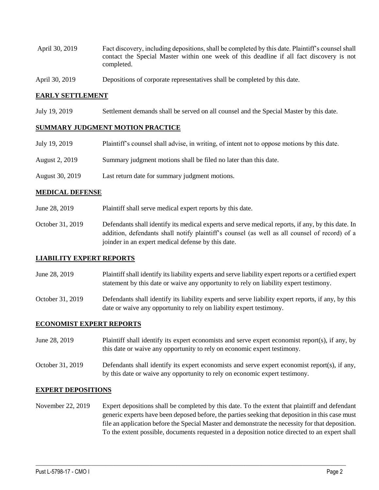- April 30, 2019 Fact discovery, including depositions, shall be completed by this date. Plaintiff's counsel shall contact the Special Master within one week of this deadline if all fact discovery is not completed.
- April 30, 2019 Depositions of corporate representatives shall be completed by this date.

### **EARLY SETTLEMENT**

July 19, 2019 Settlement demands shall be served on all counsel and the Special Master by this date.

## **SUMMARY JUDGMENT MOTION PRACTICE**

| July 19, 2019   | Plaintiff's counsel shall advise, in writing, of intent not to oppose motions by this date. |
|-----------------|---------------------------------------------------------------------------------------------|
| August 2, 2019  | Summary judgment motions shall be filed no later than this date.                            |
| August 30, 2019 | Last return date for summary judgment motions.                                              |

## **MEDICAL DEFENSE**

- June 28, 2019 Plaintiff shall serve medical expert reports by this date.
- October 31, 2019 Defendants shall identify its medical experts and serve medical reports, if any, by this date. In addition, defendants shall notify plaintiff's counsel (as well as all counsel of record) of a joinder in an expert medical defense by this date.

### **LIABILITY EXPERT REPORTS**

- June 28, 2019 Plaintiff shall identify its liability experts and serve liability expert reports or a certified expert statement by this date or waive any opportunity to rely on liability expert testimony.
- October 31, 2019 Defendants shall identify its liability experts and serve liability expert reports, if any, by this date or waive any opportunity to rely on liability expert testimony.

### **ECONOMIST EXPERT REPORTS**

- June 28, 2019 Plaintiff shall identify its expert economists and serve expert economist report(s), if any, by this date or waive any opportunity to rely on economic expert testimony.
- October 31, 2019 Defendants shall identify its expert economists and serve expert economist report(s), if any, by this date or waive any opportunity to rely on economic expert testimony.

### **EXPERT DEPOSITIONS**

November 22, 2019 Expert depositions shall be completed by this date. To the extent that plaintiff and defendant generic experts have been deposed before, the parties seeking that deposition in this case must file an application before the Special Master and demonstrate the necessity for that deposition. To the extent possible, documents requested in a deposition notice directed to an expert shall

 $\_$  ,  $\_$  ,  $\_$  ,  $\_$  ,  $\_$  ,  $\_$  ,  $\_$  ,  $\_$  ,  $\_$  ,  $\_$  ,  $\_$  ,  $\_$  ,  $\_$  ,  $\_$  ,  $\_$  ,  $\_$  ,  $\_$  ,  $\_$  ,  $\_$  ,  $\_$  ,  $\_$  ,  $\_$  ,  $\_$  ,  $\_$  ,  $\_$  ,  $\_$  ,  $\_$  ,  $\_$  ,  $\_$  ,  $\_$  ,  $\_$  ,  $\_$  ,  $\_$  ,  $\_$  ,  $\_$  ,  $\_$  ,  $\_$  ,